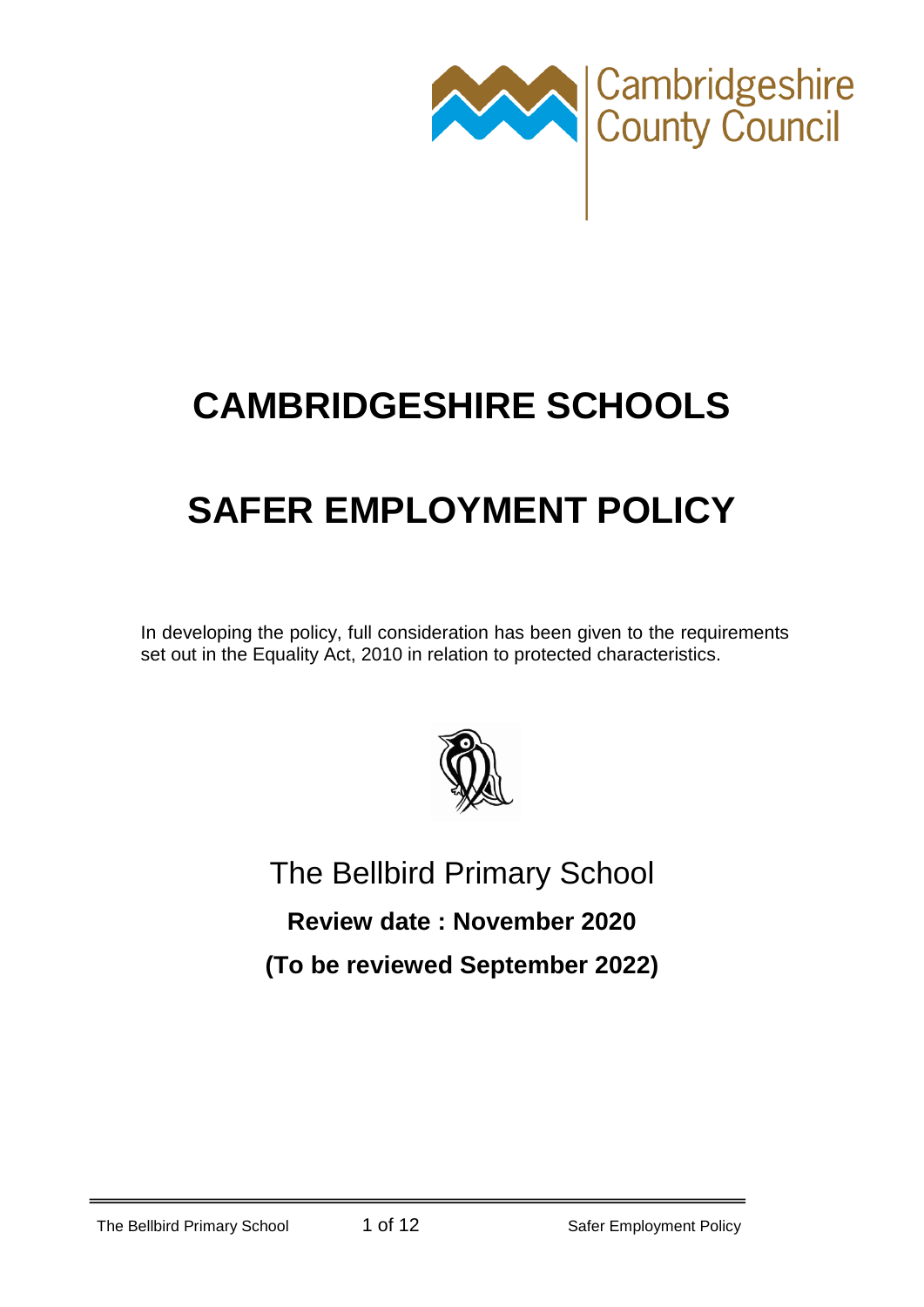

## **CAMBRIDGESHIRE SCHOOLS**

# **SAFER EMPLOYMENT POLICY**

In developing the policy, full consideration has been given to the requirements set out in the Equality Act, 2010 in relation to protected characteristics.



## The Bellbird Primary School

**Review date : November 2020**

**(To be reviewed September 2022)**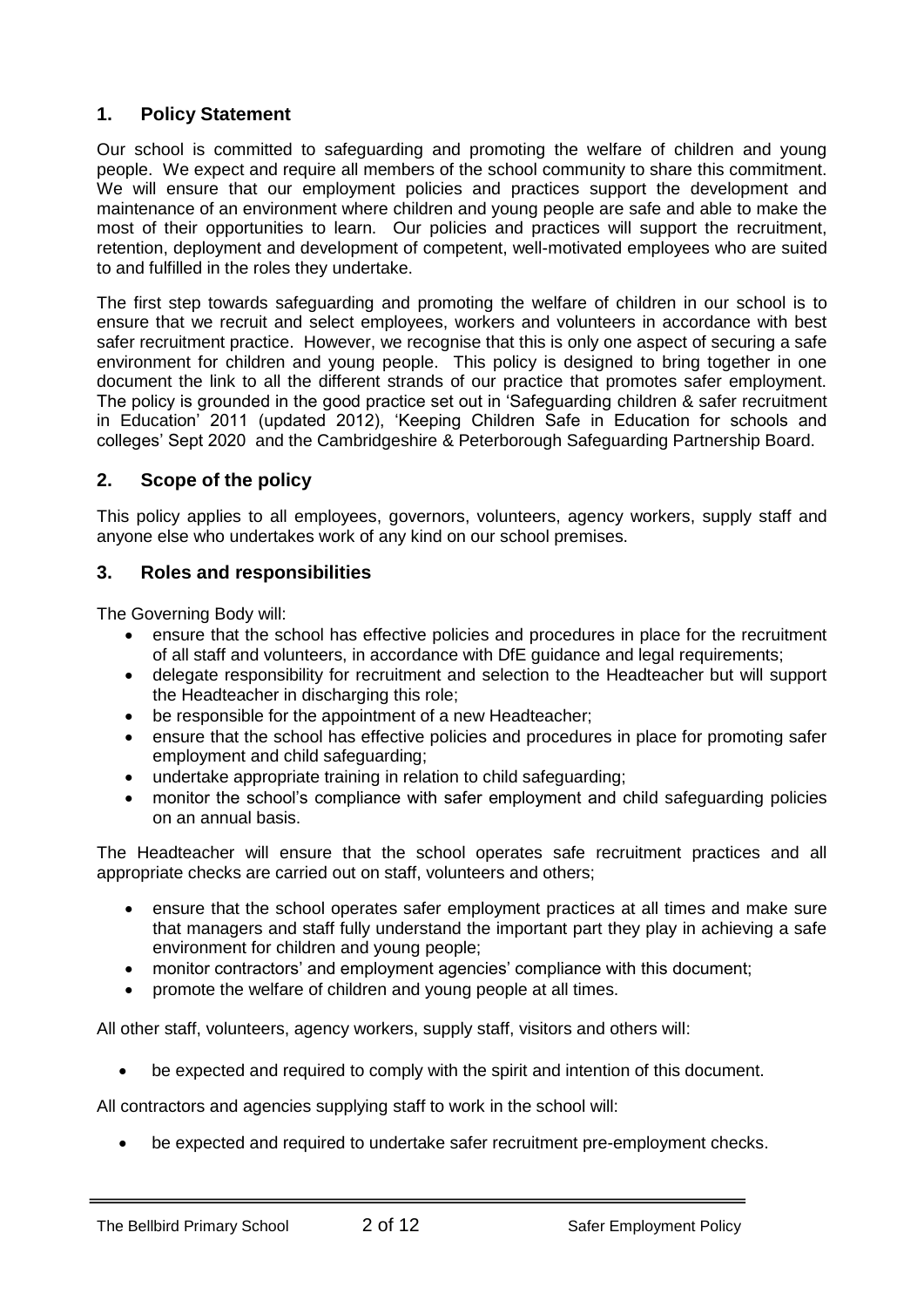## **1. Policy Statement**

Our school is committed to safeguarding and promoting the welfare of children and young people. We expect and require all members of the school community to share this commitment. We will ensure that our employment policies and practices support the development and maintenance of an environment where children and young people are safe and able to make the most of their opportunities to learn. Our policies and practices will support the recruitment, retention, deployment and development of competent, well-motivated employees who are suited to and fulfilled in the roles they undertake.

The first step towards safeguarding and promoting the welfare of children in our school is to ensure that we recruit and select employees, workers and volunteers in accordance with best safer recruitment practice. However, we recognise that this is only one aspect of securing a safe environment for children and young people. This policy is designed to bring together in one document the link to all the different strands of our practice that promotes safer employment. The policy is grounded in the good practice set out in 'Safeguarding children & safer recruitment in Education' 2011 (updated 2012), 'Keeping Children Safe in Education for schools and colleges' Sept 2020 and the Cambridgeshire & Peterborough Safeguarding Partnership Board.

## **2. Scope of the policy**

This policy applies to all employees, governors, volunteers, agency workers, supply staff and anyone else who undertakes work of any kind on our school premises.

## **3. Roles and responsibilities**

The Governing Body will:

- ensure that the school has effective policies and procedures in place for the recruitment of all staff and volunteers, in accordance with DfE guidance and legal requirements;
- delegate responsibility for recruitment and selection to the Headteacher but will support the Headteacher in discharging this role;
- be responsible for the appointment of a new Headteacher;
- ensure that the school has effective policies and procedures in place for promoting safer employment and child safeguarding;
- undertake appropriate training in relation to child safeguarding;
- monitor the school's compliance with safer employment and child safeguarding policies on an annual basis.

The Headteacher will ensure that the school operates safe recruitment practices and all appropriate checks are carried out on staff, volunteers and others;

- ensure that the school operates safer employment practices at all times and make sure that managers and staff fully understand the important part they play in achieving a safe environment for children and young people;
- monitor contractors' and employment agencies' compliance with this document;
- promote the welfare of children and young people at all times.

All other staff, volunteers, agency workers, supply staff, visitors and others will:

be expected and required to comply with the spirit and intention of this document.

All contractors and agencies supplying staff to work in the school will:

be expected and required to undertake safer recruitment pre-employment checks.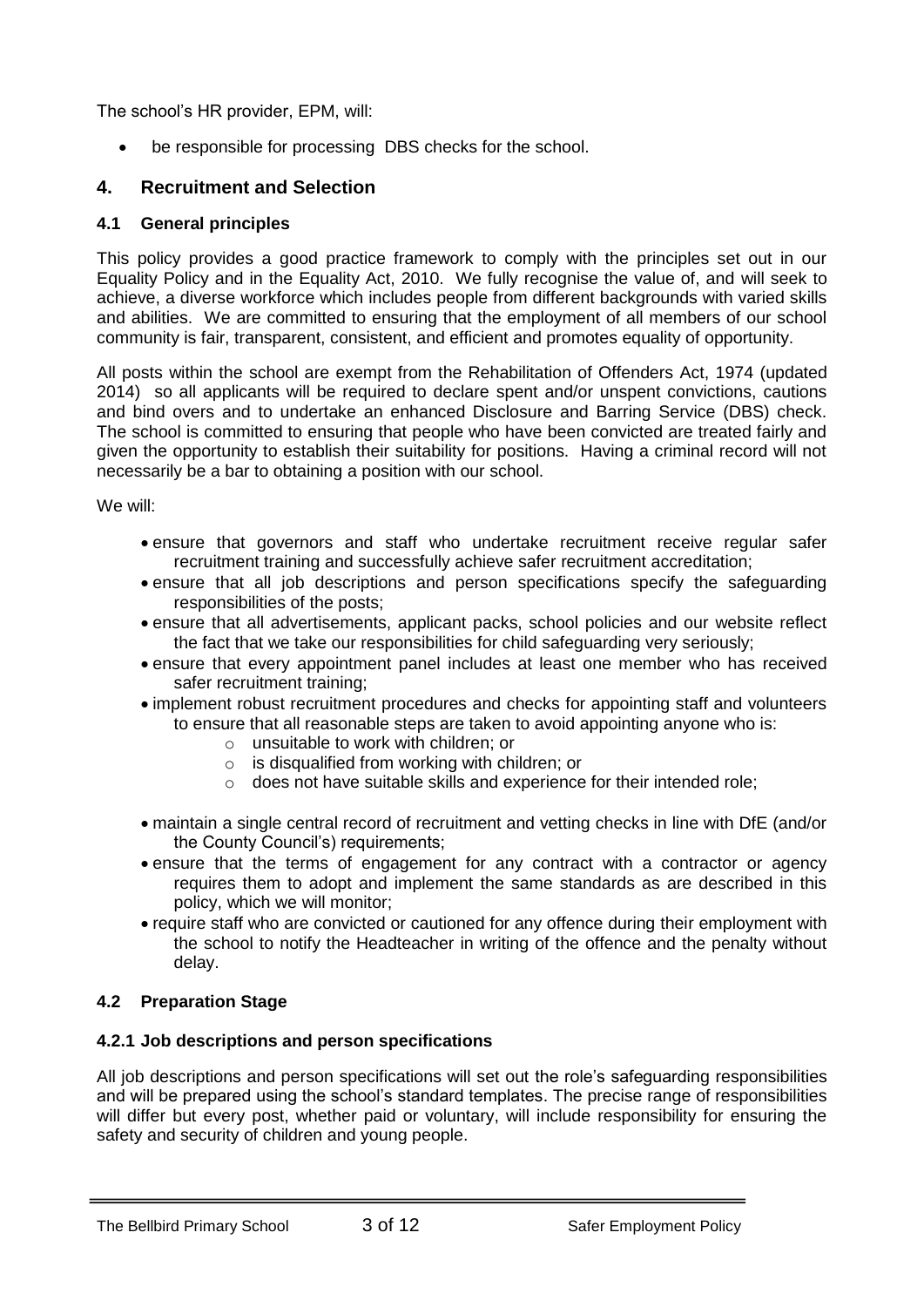The school's HR provider, EPM, will:

be responsible for processing DBS checks for the school.

## **4. Recruitment and Selection**

#### **4.1 General principles**

This policy provides a good practice framework to comply with the principles set out in our Equality Policy and in the Equality Act, 2010. We fully recognise the value of, and will seek to achieve, a diverse workforce which includes people from different backgrounds with varied skills and abilities. We are committed to ensuring that the employment of all members of our school community is fair, transparent, consistent, and efficient and promotes equality of opportunity.

All posts within the school are exempt from the Rehabilitation of Offenders Act, 1974 (updated 2014) so all applicants will be required to declare spent and/or unspent convictions, cautions and bind overs and to undertake an enhanced Disclosure and Barring Service (DBS) check. The school is committed to ensuring that people who have been convicted are treated fairly and given the opportunity to establish their suitability for positions. Having a criminal record will not necessarily be a bar to obtaining a position with our school.

We will:

- ensure that governors and staff who undertake recruitment receive regular safer recruitment training and successfully achieve safer recruitment accreditation;
- ensure that all job descriptions and person specifications specify the safeguarding responsibilities of the posts;
- ensure that all advertisements, applicant packs, school policies and our website reflect the fact that we take our responsibilities for child safeguarding very seriously;
- ensure that every appointment panel includes at least one member who has received safer recruitment training;
- implement robust recruitment procedures and checks for appointing staff and volunteers to ensure that all reasonable steps are taken to avoid appointing anyone who is:
	- o unsuitable to work with children; or
	- $\circ$  is disqualified from working with children; or
	- o does not have suitable skills and experience for their intended role;
- maintain a single central record of recruitment and vetting checks in line with DfE (and/or the County Council's) requirements;
- ensure that the terms of engagement for any contract with a contractor or agency requires them to adopt and implement the same standards as are described in this policy, which we will monitor;
- require staff who are convicted or cautioned for any offence during their employment with the school to notify the Headteacher in writing of the offence and the penalty without delay.

## **4.2 Preparation Stage**

## **4.2.1 Job descriptions and person specifications**

All job descriptions and person specifications will set out the role's safeguarding responsibilities and will be prepared using the school's standard templates. The precise range of responsibilities will differ but every post, whether paid or voluntary, will include responsibility for ensuring the safety and security of children and young people.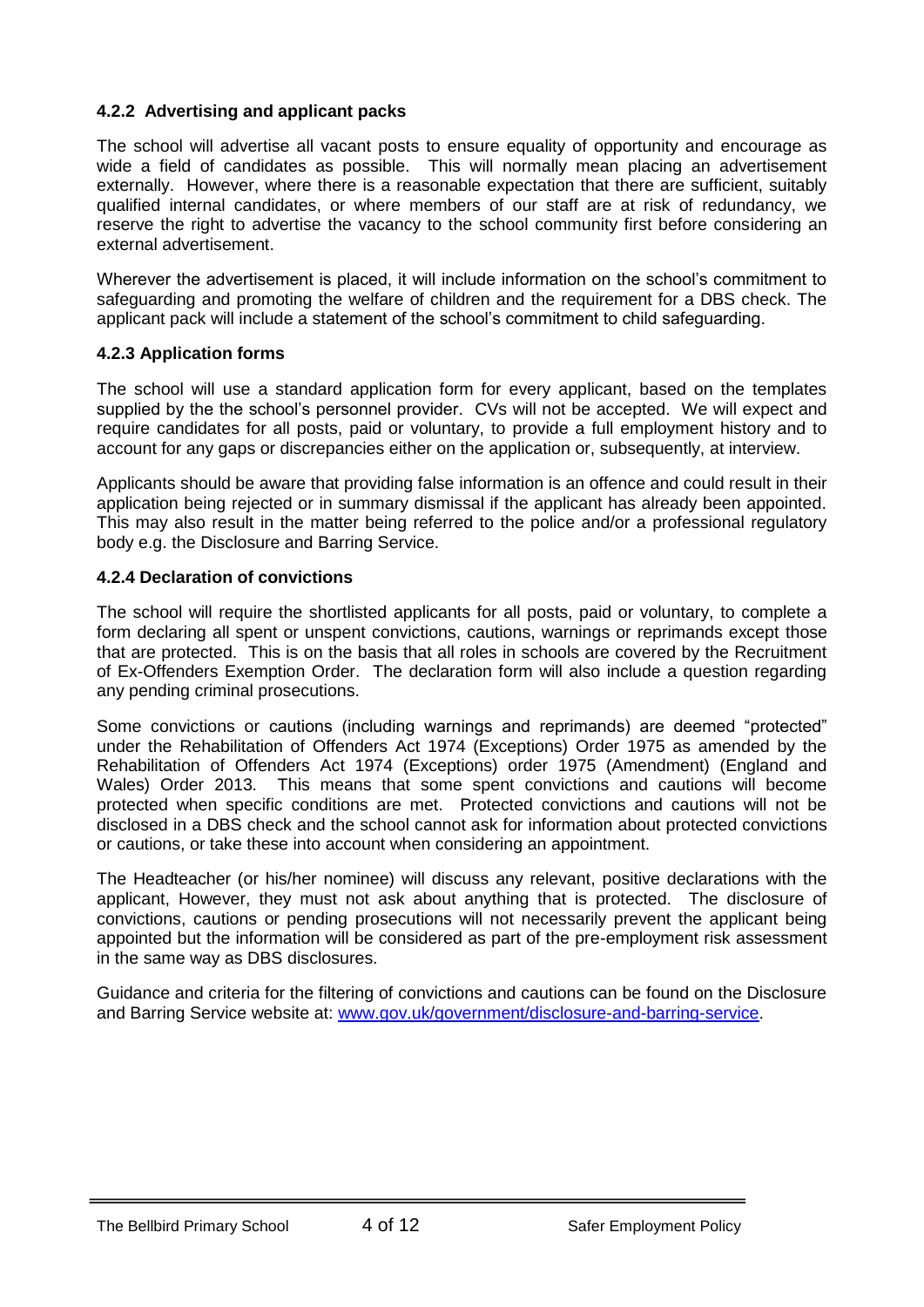## **4.2.2 Advertising and applicant packs**

The school will advertise all vacant posts to ensure equality of opportunity and encourage as wide a field of candidates as possible. This will normally mean placing an advertisement externally. However, where there is a reasonable expectation that there are sufficient, suitably qualified internal candidates, or where members of our staff are at risk of redundancy, we reserve the right to advertise the vacancy to the school community first before considering an external advertisement.

Wherever the advertisement is placed, it will include information on the school's commitment to safeguarding and promoting the welfare of children and the requirement for a DBS check. The applicant pack will include a statement of the school's commitment to child safeguarding.

## **4.2.3 Application forms**

The school will use a standard application form for every applicant, based on the templates supplied by the the school's personnel provider. CVs will not be accepted. We will expect and require candidates for all posts, paid or voluntary, to provide a full employment history and to account for any gaps or discrepancies either on the application or, subsequently, at interview.

Applicants should be aware that providing false information is an offence and could result in their application being rejected or in summary dismissal if the applicant has already been appointed. This may also result in the matter being referred to the police and/or a professional regulatory body e.g. the Disclosure and Barring Service.

## **4.2.4 Declaration of convictions**

The school will require the shortlisted applicants for all posts, paid or voluntary, to complete a form declaring all spent or unspent convictions, cautions, warnings or reprimands except those that are protected. This is on the basis that all roles in schools are covered by the Recruitment of Ex-Offenders Exemption Order. The declaration form will also include a question regarding any pending criminal prosecutions.

Some convictions or cautions (including warnings and reprimands) are deemed "protected" under the Rehabilitation of Offenders Act 1974 (Exceptions) Order 1975 as amended by the Rehabilitation of Offenders Act 1974 (Exceptions) order 1975 (Amendment) (England and Wales) Order 2013. This means that some spent convictions and cautions will become protected when specific conditions are met. Protected convictions and cautions will not be disclosed in a DBS check and the school cannot ask for information about protected convictions or cautions, or take these into account when considering an appointment.

The Headteacher (or his/her nominee) will discuss any relevant, positive declarations with the applicant, However, they must not ask about anything that is protected. The disclosure of convictions, cautions or pending prosecutions will not necessarily prevent the applicant being appointed but the information will be considered as part of the pre-employment risk assessment in the same way as DBS disclosures.

Guidance and criteria for the filtering of convictions and cautions can be found on the Disclosure and Barring Service website at: [www.gov.uk/government/disclosure-and-barring-service.](http://www.gov.uk/government/disclosure-and-barring-service)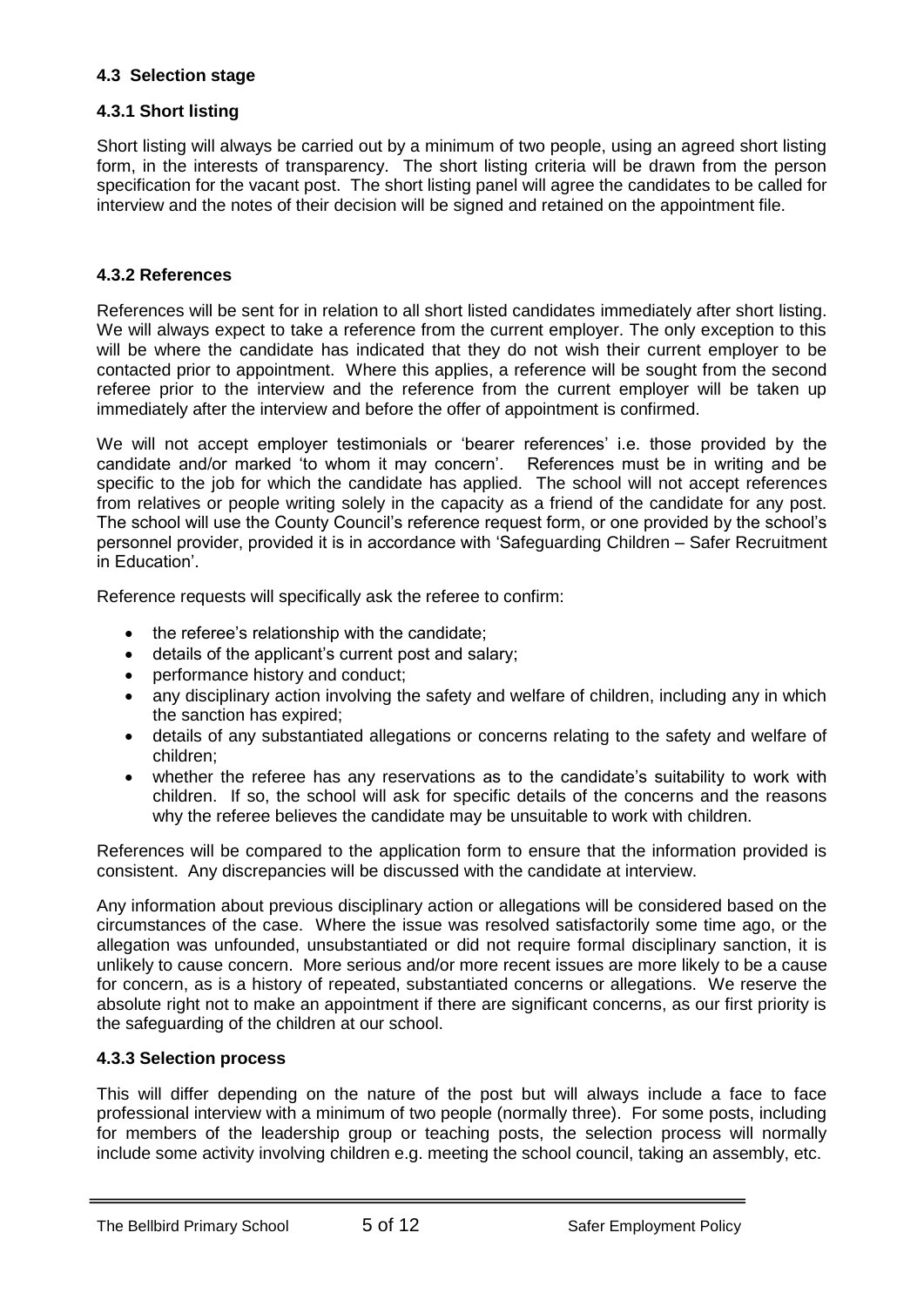## **4.3 Selection stage**

#### **4.3.1 Short listing**

Short listing will always be carried out by a minimum of two people, using an agreed short listing form, in the interests of transparency. The short listing criteria will be drawn from the person specification for the vacant post. The short listing panel will agree the candidates to be called for interview and the notes of their decision will be signed and retained on the appointment file.

#### **4.3.2 References**

References will be sent for in relation to all short listed candidates immediately after short listing. We will always expect to take a reference from the current employer. The only exception to this will be where the candidate has indicated that they do not wish their current employer to be contacted prior to appointment. Where this applies, a reference will be sought from the second referee prior to the interview and the reference from the current employer will be taken up immediately after the interview and before the offer of appointment is confirmed.

We will not accept employer testimonials or 'bearer references' i.e. those provided by the candidate and/or marked 'to whom it may concern'. References must be in writing and be specific to the job for which the candidate has applied. The school will not accept references from relatives or people writing solely in the capacity as a friend of the candidate for any post. The school will use the County Council's reference request form, or one provided by the school's personnel provider, provided it is in accordance with 'Safeguarding Children – Safer Recruitment in Education'.

Reference requests will specifically ask the referee to confirm:

- the referee's relationship with the candidate;
- details of the applicant's current post and salary;
- performance history and conduct;
- any disciplinary action involving the safety and welfare of children, including any in which the sanction has expired;
- details of any substantiated allegations or concerns relating to the safety and welfare of children;
- whether the referee has any reservations as to the candidate's suitability to work with children. If so, the school will ask for specific details of the concerns and the reasons why the referee believes the candidate may be unsuitable to work with children.

References will be compared to the application form to ensure that the information provided is consistent. Any discrepancies will be discussed with the candidate at interview.

Any information about previous disciplinary action or allegations will be considered based on the circumstances of the case. Where the issue was resolved satisfactorily some time ago, or the allegation was unfounded, unsubstantiated or did not require formal disciplinary sanction, it is unlikely to cause concern. More serious and/or more recent issues are more likely to be a cause for concern, as is a history of repeated, substantiated concerns or allegations. We reserve the absolute right not to make an appointment if there are significant concerns, as our first priority is the safeguarding of the children at our school.

#### **4.3.3 Selection process**

This will differ depending on the nature of the post but will always include a face to face professional interview with a minimum of two people (normally three). For some posts, including for members of the leadership group or teaching posts, the selection process will normally include some activity involving children e.g. meeting the school council, taking an assembly, etc.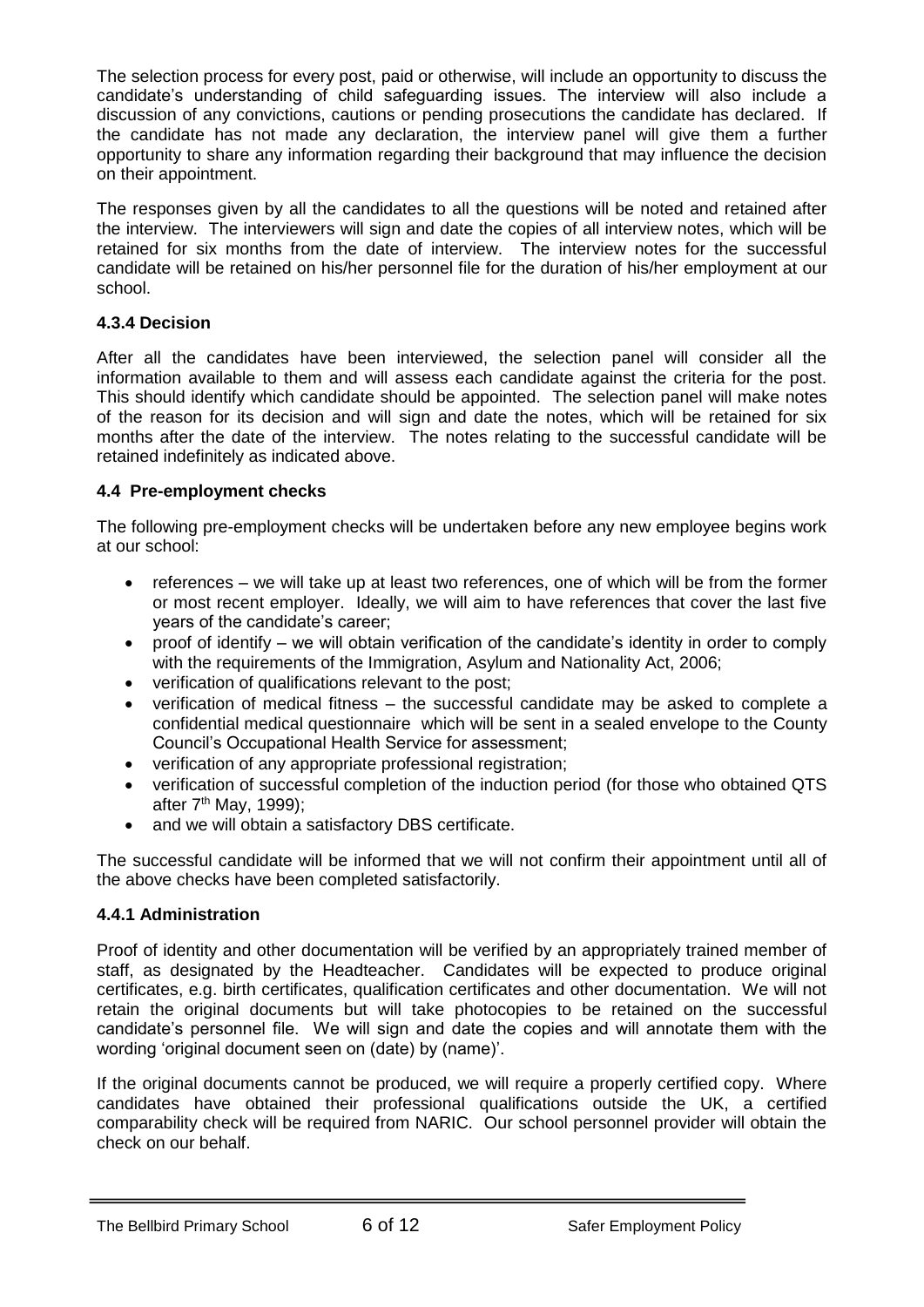The selection process for every post, paid or otherwise, will include an opportunity to discuss the candidate's understanding of child safeguarding issues. The interview will also include a discussion of any convictions, cautions or pending prosecutions the candidate has declared. If the candidate has not made any declaration, the interview panel will give them a further opportunity to share any information regarding their background that may influence the decision on their appointment.

The responses given by all the candidates to all the questions will be noted and retained after the interview. The interviewers will sign and date the copies of all interview notes, which will be retained for six months from the date of interview. The interview notes for the successful candidate will be retained on his/her personnel file for the duration of his/her employment at our school.

## **4.3.4 Decision**

After all the candidates have been interviewed, the selection panel will consider all the information available to them and will assess each candidate against the criteria for the post. This should identify which candidate should be appointed. The selection panel will make notes of the reason for its decision and will sign and date the notes, which will be retained for six months after the date of the interview. The notes relating to the successful candidate will be retained indefinitely as indicated above.

## **4.4 Pre-employment checks**

The following pre-employment checks will be undertaken before any new employee begins work at our school:

- references we will take up at least two references, one of which will be from the former or most recent employer. Ideally, we will aim to have references that cover the last five years of the candidate's career;
- proof of identify we will obtain verification of the candidate's identity in order to comply with the requirements of the Immigration, Asylum and Nationality Act, 2006;
- verification of qualifications relevant to the post;
- verification of medical fitness the successful candidate may be asked to complete a confidential medical questionnaire which will be sent in a sealed envelope to the County Council's Occupational Health Service for assessment;
- verification of any appropriate professional registration;
- verification of successful completion of the induction period (for those who obtained QTS after  $7<sup>th</sup>$  May, 1999);
- and we will obtain a satisfactory DBS certificate.

The successful candidate will be informed that we will not confirm their appointment until all of the above checks have been completed satisfactorily.

## **4.4.1 Administration**

Proof of identity and other documentation will be verified by an appropriately trained member of staff, as designated by the Headteacher. Candidates will be expected to produce original certificates, e.g. birth certificates, qualification certificates and other documentation. We will not retain the original documents but will take photocopies to be retained on the successful candidate's personnel file. We will sign and date the copies and will annotate them with the wording 'original document seen on (date) by (name)'.

If the original documents cannot be produced, we will require a properly certified copy. Where candidates have obtained their professional qualifications outside the UK, a certified comparability check will be required from NARIC. Our school personnel provider will obtain the check on our behalf.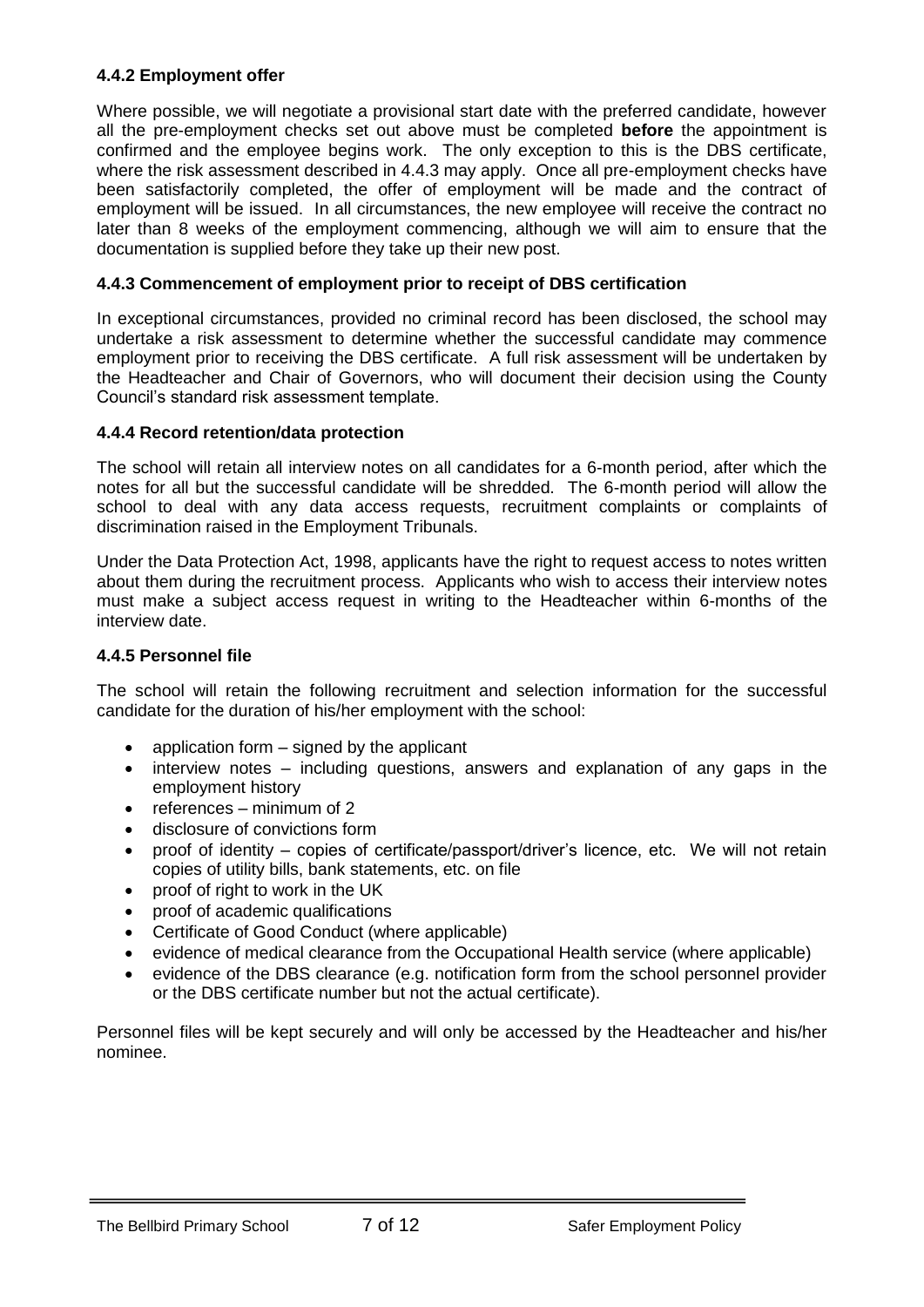## **4.4.2 Employment offer**

Where possible, we will negotiate a provisional start date with the preferred candidate, however all the pre-employment checks set out above must be completed **before** the appointment is confirmed and the employee begins work. The only exception to this is the DBS certificate, where the risk assessment described in 4.4.3 may apply. Once all pre-employment checks have been satisfactorily completed, the offer of employment will be made and the contract of employment will be issued. In all circumstances, the new employee will receive the contract no later than 8 weeks of the employment commencing, although we will aim to ensure that the documentation is supplied before they take up their new post.

#### **4.4.3 Commencement of employment prior to receipt of DBS certification**

In exceptional circumstances, provided no criminal record has been disclosed, the school may undertake a risk assessment to determine whether the successful candidate may commence employment prior to receiving the DBS certificate. A full risk assessment will be undertaken by the Headteacher and Chair of Governors, who will document their decision using the County Council's standard risk assessment template.

#### **4.4.4 Record retention/data protection**

The school will retain all interview notes on all candidates for a 6-month period, after which the notes for all but the successful candidate will be shredded. The 6-month period will allow the school to deal with any data access requests, recruitment complaints or complaints of discrimination raised in the Employment Tribunals.

Under the Data Protection Act, 1998, applicants have the right to request access to notes written about them during the recruitment process. Applicants who wish to access their interview notes must make a subject access request in writing to the Headteacher within 6-months of the interview date.

#### **4.4.5 Personnel file**

The school will retain the following recruitment and selection information for the successful candidate for the duration of his/her employment with the school:

- $\bullet$  application form  $-$  signed by the applicant
- interview notes including questions, answers and explanation of any gaps in the employment history
- references minimum of 2
- disclosure of convictions form
- proof of identity copies of certificate/passport/driver's licence, etc. We will not retain copies of utility bills, bank statements, etc. on file
- proof of right to work in the UK
- proof of academic qualifications
- Certificate of Good Conduct (where applicable)
- evidence of medical clearance from the Occupational Health service (where applicable)
- evidence of the DBS clearance (e.g. notification form from the school personnel provider or the DBS certificate number but not the actual certificate).

Personnel files will be kept securely and will only be accessed by the Headteacher and his/her nominee.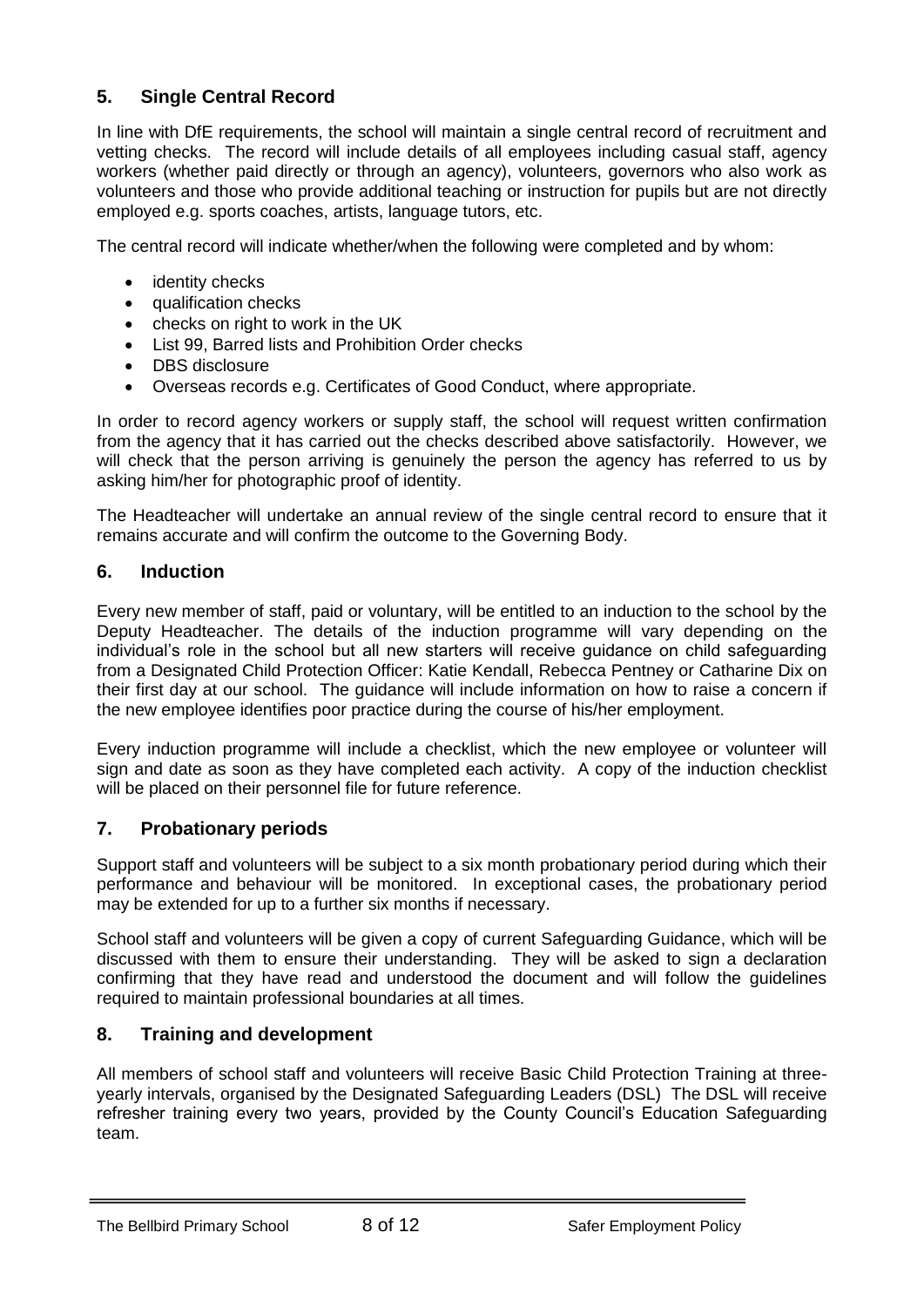## **5. Single Central Record**

In line with DfE requirements, the school will maintain a single central record of recruitment and vetting checks. The record will include details of all employees including casual staff, agency workers (whether paid directly or through an agency), volunteers, governors who also work as volunteers and those who provide additional teaching or instruction for pupils but are not directly employed e.g. sports coaches, artists, language tutors, etc.

The central record will indicate whether/when the following were completed and by whom:

- identity checks
- qualification checks
- checks on right to work in the UK
- List 99, Barred lists and Prohibition Order checks
- DBS disclosure
- Overseas records e.g. Certificates of Good Conduct, where appropriate.

In order to record agency workers or supply staff, the school will request written confirmation from the agency that it has carried out the checks described above satisfactorily. However, we will check that the person arriving is genuinely the person the agency has referred to us by asking him/her for photographic proof of identity.

The Headteacher will undertake an annual review of the single central record to ensure that it remains accurate and will confirm the outcome to the Governing Body.

## **6. Induction**

Every new member of staff, paid or voluntary, will be entitled to an induction to the school by the Deputy Headteacher. The details of the induction programme will vary depending on the individual's role in the school but all new starters will receive guidance on child safeguarding from a Designated Child Protection Officer: Katie Kendall, Rebecca Pentney or Catharine Dix on their first day at our school. The guidance will include information on how to raise a concern if the new employee identifies poor practice during the course of his/her employment.

Every induction programme will include a checklist, which the new employee or volunteer will sign and date as soon as they have completed each activity. A copy of the induction checklist will be placed on their personnel file for future reference.

## **7. Probationary periods**

Support staff and volunteers will be subject to a six month probationary period during which their performance and behaviour will be monitored. In exceptional cases, the probationary period may be extended for up to a further six months if necessary.

School staff and volunteers will be given a copy of current Safeguarding Guidance, which will be discussed with them to ensure their understanding. They will be asked to sign a declaration confirming that they have read and understood the document and will follow the guidelines required to maintain professional boundaries at all times.

## **8. Training and development**

All members of school staff and volunteers will receive Basic Child Protection Training at threeyearly intervals, organised by the Designated Safeguarding Leaders (DSL) The DSL will receive refresher training every two years, provided by the County Council's Education Safeguarding team.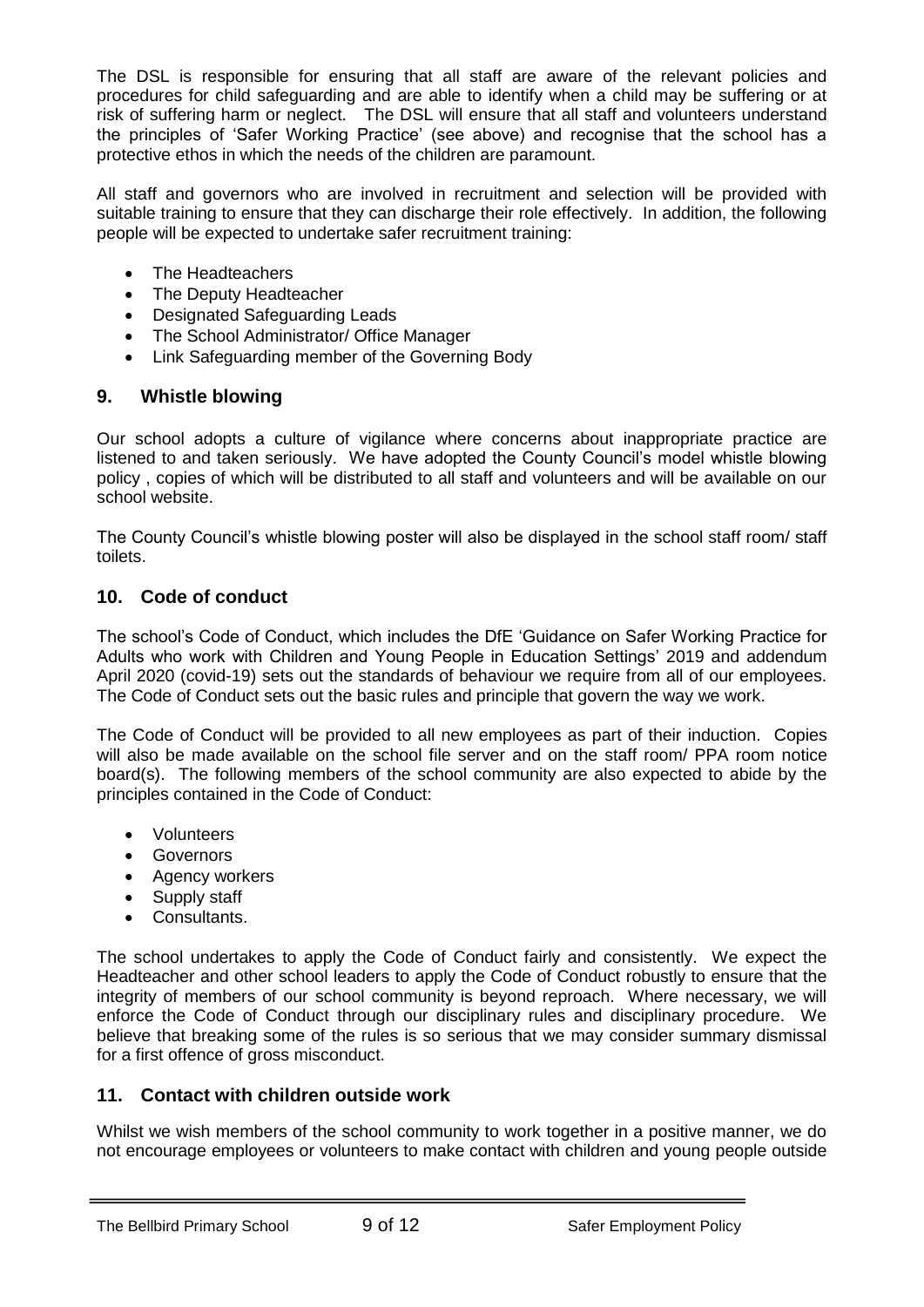The DSL is responsible for ensuring that all staff are aware of the relevant policies and procedures for child safeguarding and are able to identify when a child may be suffering or at risk of suffering harm or neglect. The DSL will ensure that all staff and volunteers understand the principles of 'Safer Working Practice' (see above) and recognise that the school has a protective ethos in which the needs of the children are paramount.

All staff and governors who are involved in recruitment and selection will be provided with suitable training to ensure that they can discharge their role effectively. In addition, the following people will be expected to undertake safer recruitment training:

- The Headteachers
- The Deputy Headteacher
- Designated Safeguarding Leads
- The School Administrator/ Office Manager
- Link Safeguarding member of the Governing Body

## **9. Whistle blowing**

Our school adopts a culture of vigilance where concerns about inappropriate practice are listened to and taken seriously. We have adopted the County Council's model whistle blowing policy , copies of which will be distributed to all staff and volunteers and will be available on our school website.

The County Council's whistle blowing poster will also be displayed in the school staff room/ staff toilets.

## **10. Code of conduct**

The school's Code of Conduct, which includes the DfE 'Guidance on Safer Working Practice for Adults who work with Children and Young People in Education Settings' 2019 and addendum April 2020 (covid-19) sets out the standards of behaviour we require from all of our employees. The Code of Conduct sets out the basic rules and principle that govern the way we work.

The Code of Conduct will be provided to all new employees as part of their induction. Copies will also be made available on the school file server and on the staff room/ PPA room notice board(s). The following members of the school community are also expected to abide by the principles contained in the Code of Conduct:

- Volunteers
- Governors
- Agency workers
- Supply staff
- Consultants.

The school undertakes to apply the Code of Conduct fairly and consistently. We expect the Headteacher and other school leaders to apply the Code of Conduct robustly to ensure that the integrity of members of our school community is beyond reproach. Where necessary, we will enforce the Code of Conduct through our disciplinary rules and disciplinary procedure. We believe that breaking some of the rules is so serious that we may consider summary dismissal for a first offence of gross misconduct.

## **11. Contact with children outside work**

Whilst we wish members of the school community to work together in a positive manner, we do not encourage employees or volunteers to make contact with children and young people outside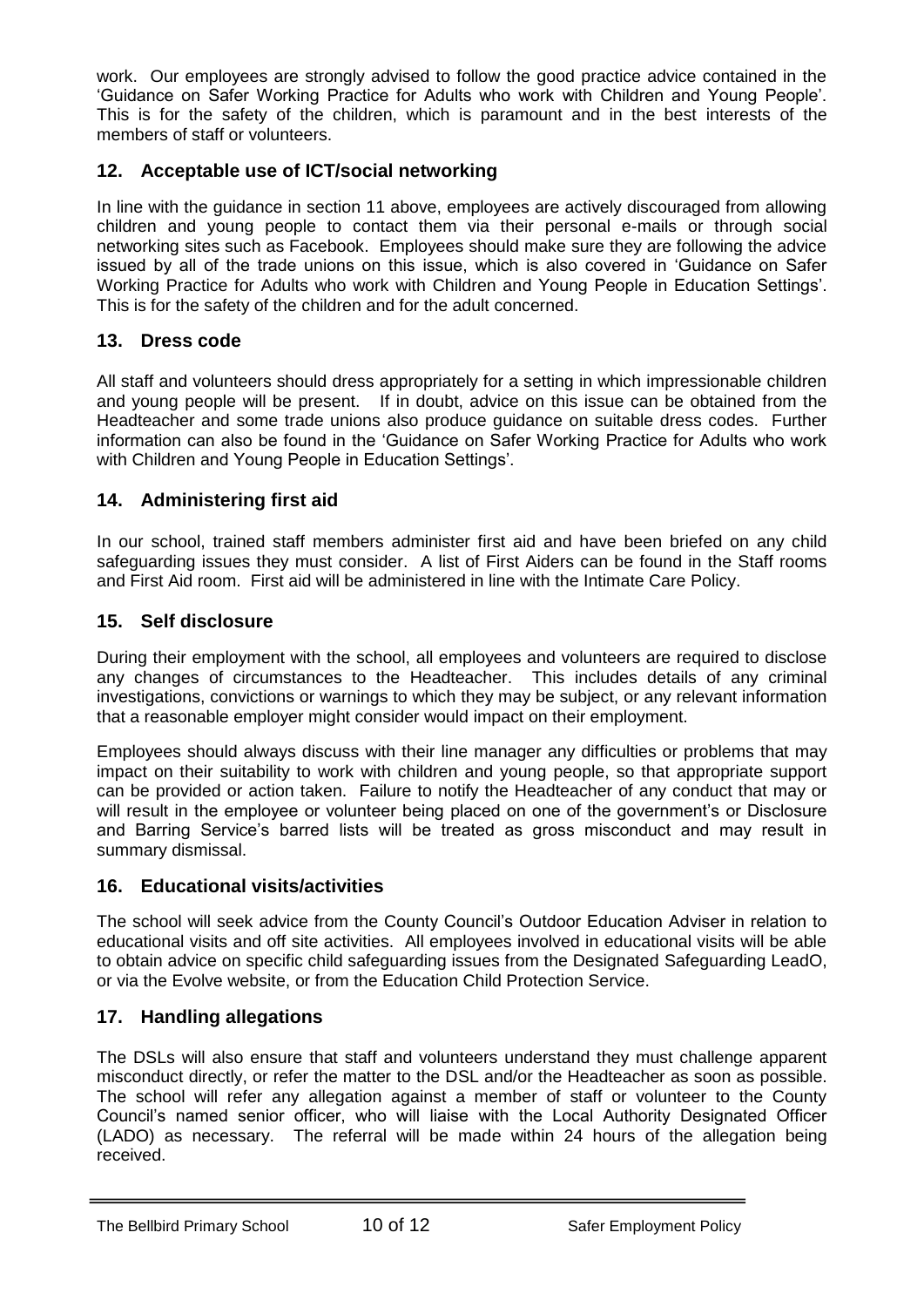work. Our employees are strongly advised to follow the good practice advice contained in the 'Guidance on Safer Working Practice for Adults who work with Children and Young People'. This is for the safety of the children, which is paramount and in the best interests of the members of staff or volunteers.

## **12. Acceptable use of ICT/social networking**

In line with the guidance in section 11 above, employees are actively discouraged from allowing children and young people to contact them via their personal e-mails or through social networking sites such as Facebook. Employees should make sure they are following the advice issued by all of the trade unions on this issue, which is also covered in 'Guidance on Safer Working Practice for Adults who work with Children and Young People in Education Settings'. This is for the safety of the children and for the adult concerned.

## **13. Dress code**

All staff and volunteers should dress appropriately for a setting in which impressionable children and young people will be present. If in doubt, advice on this issue can be obtained from the Headteacher and some trade unions also produce guidance on suitable dress codes. Further information can also be found in the 'Guidance on Safer Working Practice for Adults who work with Children and Young People in Education Settings'.

## **14. Administering first aid**

In our school, trained staff members administer first aid and have been briefed on any child safeguarding issues they must consider. A list of First Aiders can be found in the Staff rooms and First Aid room. First aid will be administered in line with the Intimate Care Policy.

## **15. Self disclosure**

During their employment with the school, all employees and volunteers are required to disclose any changes of circumstances to the Headteacher. This includes details of any criminal investigations, convictions or warnings to which they may be subject, or any relevant information that a reasonable employer might consider would impact on their employment.

Employees should always discuss with their line manager any difficulties or problems that may impact on their suitability to work with children and young people, so that appropriate support can be provided or action taken. Failure to notify the Headteacher of any conduct that may or will result in the employee or volunteer being placed on one of the government's or Disclosure and Barring Service's barred lists will be treated as gross misconduct and may result in summary dismissal.

## **16. Educational visits/activities**

The school will seek advice from the County Council's Outdoor Education Adviser in relation to educational visits and off site activities. All employees involved in educational visits will be able to obtain advice on specific child safeguarding issues from the Designated Safeguarding LeadO, or via the Evolve website, or from the Education Child Protection Service.

## **17. Handling allegations**

The DSLs will also ensure that staff and volunteers understand they must challenge apparent misconduct directly, or refer the matter to the DSL and/or the Headteacher as soon as possible. The school will refer any allegation against a member of staff or volunteer to the County Council's named senior officer, who will liaise with the Local Authority Designated Officer (LADO) as necessary. The referral will be made within 24 hours of the allegation being received.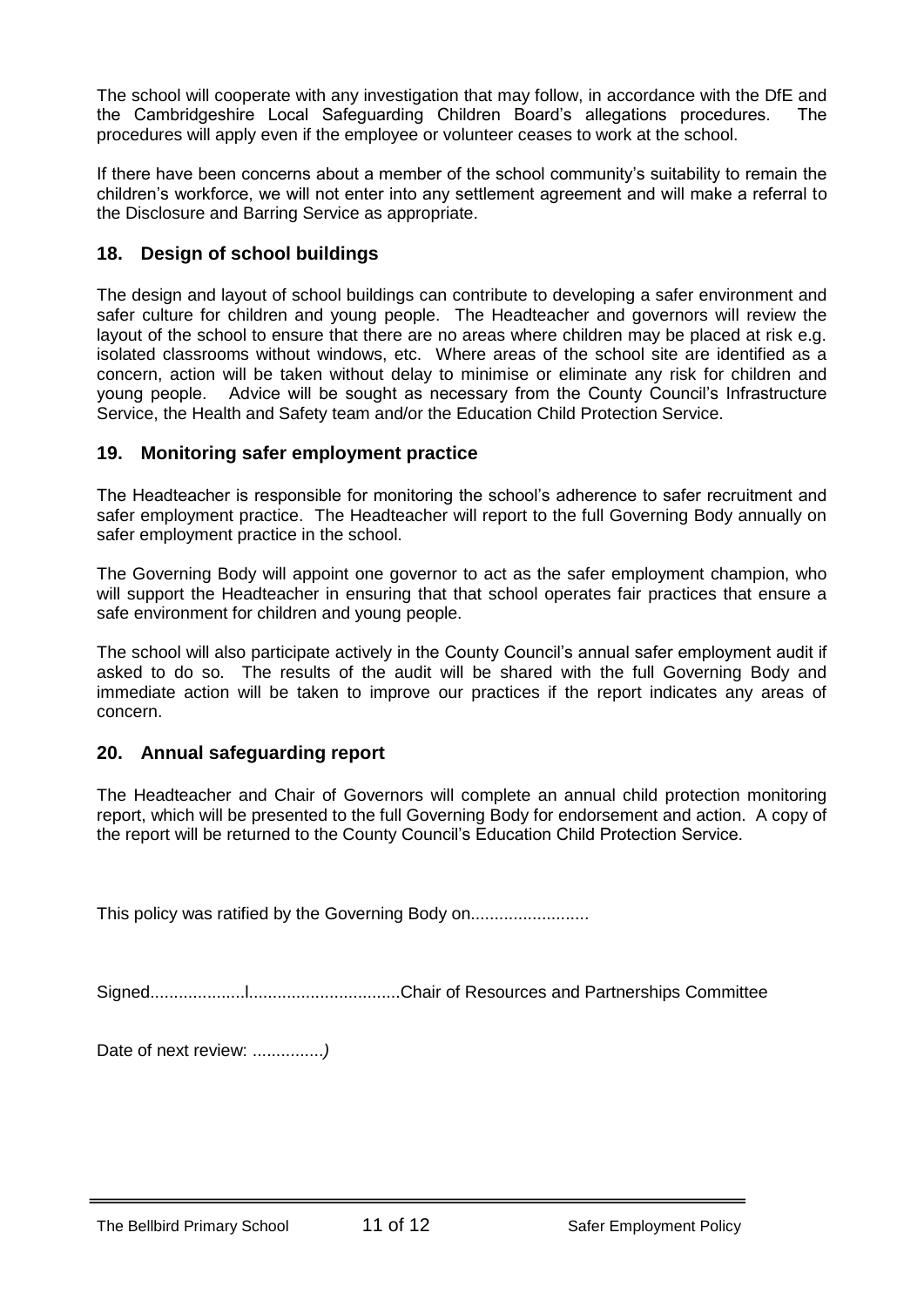The school will cooperate with any investigation that may follow, in accordance with the DfE and the Cambridgeshire Local Safeguarding Children Board's allegations procedures. The procedures will apply even if the employee or volunteer ceases to work at the school.

If there have been concerns about a member of the school community's suitability to remain the children's workforce, we will not enter into any settlement agreement and will make a referral to the Disclosure and Barring Service as appropriate.

## **18. Design of school buildings**

The design and layout of school buildings can contribute to developing a safer environment and safer culture for children and young people. The Headteacher and governors will review the layout of the school to ensure that there are no areas where children may be placed at risk e.g. isolated classrooms without windows, etc. Where areas of the school site are identified as a concern, action will be taken without delay to minimise or eliminate any risk for children and young people. Advice will be sought as necessary from the County Council's Infrastructure Service, the Health and Safety team and/or the Education Child Protection Service.

## **19. Monitoring safer employment practice**

The Headteacher is responsible for monitoring the school's adherence to safer recruitment and safer employment practice. The Headteacher will report to the full Governing Body annually on safer employment practice in the school.

The Governing Body will appoint one governor to act as the safer employment champion, who will support the Headteacher in ensuring that that school operates fair practices that ensure a safe environment for children and young people.

The school will also participate actively in the County Council's annual safer employment audit if asked to do so. The results of the audit will be shared with the full Governing Body and immediate action will be taken to improve our practices if the report indicates any areas of concern.

## **20. Annual safeguarding report**

The Headteacher and Chair of Governors will complete an annual child protection monitoring report, which will be presented to the full Governing Body for endorsement and action. A copy of the report will be returned to the County Council's Education Child Protection Service.

This policy was ratified by the Governing Body on...............................

Signed....................l................................Chair of Resources and Partnerships Committee

Date of next review: ...............*)*